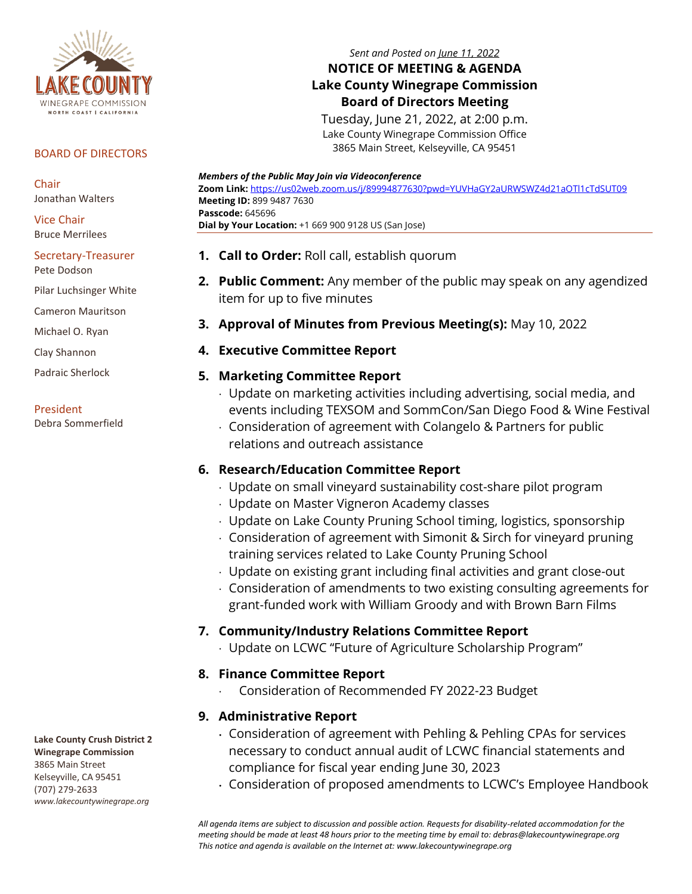

#### BOARD OF DIRECTORS

**Chair** Jonathan Walters

Vice Chair Bruce Merrilees

#### Secretary-Treasurer Pete Dodson

Pilar Luchsinger White

Cameron Mauritson

Michael O. Ryan

Clay Shannon

Padraic Sherlock

#### President

Debra Sommerfield

#### *Members of the Public May Join via Videoconference*

**Zoom Link:** <https://us02web.zoom.us/j/89994877630?pwd=YUVHaGY2aURWSWZ4d21aOTl1cTdSUT09> **Meeting ID:** 899 9487 7630 **Passcode:** 645696 **Dial by Your Location:** +1 669 900 9128 US (San Jose)

*Sent and Posted on June 11, 2022* **NOTICE OF MEETING & AGENDA Lake County Winegrape Commission Board of Directors Meeting** Tuesday, June 21, 2022, at 2:00 p.m. Lake County Winegrape Commission Office 3865 Main Street, Kelseyville, CA 95451

- **1. Call to Order:** Roll call, establish quorum
- **2. Public Comment:** Any member of the public may speak on any agendized item for up to five minutes
- **3. Approval of Minutes from Previous Meeting(s):** May 10, 2022

## **4. Executive Committee Report**

## **5. Marketing Committee Report**

- Update on marketing activities including advertising, social media, and events including TEXSOM and SommCon/San Diego Food & Wine Festival
- Consideration of agreement with Colangelo & Partners for public relations and outreach assistance

## **6. Research/Education Committee Report**

- Update on small vineyard sustainability cost-share pilot program
- Update on Master Vigneron Academy classes
- Update on Lake County Pruning School timing, logistics, sponsorship
- Consideration of agreement with Simonit & Sirch for vineyard pruning training services related to Lake County Pruning School
- Update on existing grant including final activities and grant close-out
- Consideration of amendments to two existing consulting agreements for grant-funded work with William Groody and with Brown Barn Films

# **7. Community/Industry Relations Committee Report**

Update on LCWC "Future of Agriculture Scholarship Program"

# **8. Finance Committee Report**

Consideration of Recommended FY 2022-23 Budget

# **9. Administrative Report**

- Consideration of agreement with Pehling & Pehling CPAs for services necessary to conduct annual audit of LCWC financial statements and compliance for fiscal year ending June 30, 2023
- Consideration of proposed amendments to LCWC's Employee Handbook

*All agenda items are subject to discussion and possible action. Requests for disability‐related accommodation for the meeting should be made at least 48 hours prior to the meeting time by email to: debras@lakecountywinegrape.org This notice and agenda is available on the Internet at: www.lakecountywinegrape.org*

**Lake County Crush District 2 Winegrape Commission**

3865 Main Street Kelseyville, CA 95451 (707) 279-2633 *www.lakecountywinegrape.org*